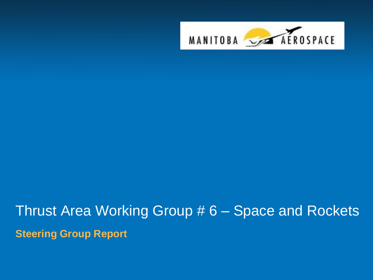

# Thrust Area Working Group # 6 – Space and Rockets **Steering Group Report**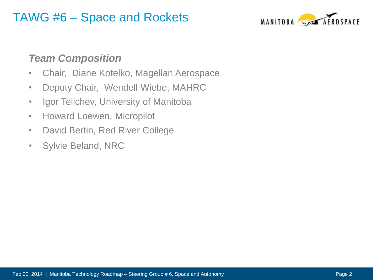### TAWG #6 – Space and Rockets



#### *Team Composition*

- Chair, Diane Kotelko, Magellan Aerospace
- Deputy Chair, Wendell Wiebe, MAHRC
- Igor Telichev, University of Manitoba
- Howard Loewen, Micropilot
- David Bertin, Red River College
- Sylvie Beland, NRC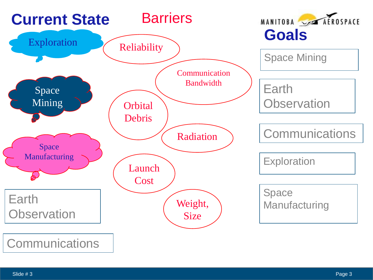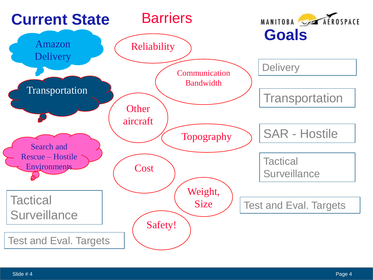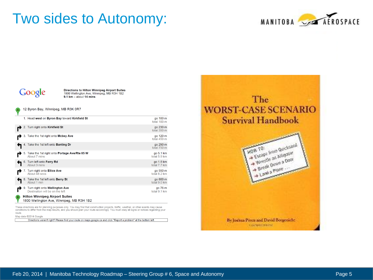## Two sides to Autonomy:





Directions to Hilton Winnipeg Airport Suites 1800 Wellington Ave, Winnipeg, MB R3H 1B2  $9.1 \text{ km} - \text{about } 14 \text{ mins}$ 

|   |  | 12 Byron Bay, Winnipeg, MB R3K 0R7 |  |  |
|---|--|------------------------------------|--|--|
| A |  |                                    |  |  |

|   | 1. Head west on Byron Bay toward Kirkfield St                                      | go 100 m<br>total 100 m   |
|---|------------------------------------------------------------------------------------|---------------------------|
|   | 2. Turn right onto Kirkfield St                                                    | go 230 m<br>total 350 m   |
|   | 3. Take the 1st right onto Mcbey Ave                                               | go 120 m<br>total 450 m   |
|   | 4. Take the 1st left onto <b>Banting Dr</b>                                        | go 290 m<br>total 750 m   |
|   | 5. Take the 1st right onto Portage Ave/Rte 85 W<br>About 7 mins                    | go 5.1 km<br>total 5.9 km |
|   | 6. Turn left onto Ferry Rd<br>About 3 mins                                         | go 1.8 km<br>total 7.7 km |
|   | 7. Turn right onto Ellice Ave<br>About 48 secs                                     | go 550 m<br>total 8.2 km  |
|   | 8. Take the 1st left onto Berry St<br>About 1 min                                  | go 800 m<br>total 9.0 km  |
|   | 9. Turn right onto Wellington Ave<br>Destination will be on the left               | go 76 m<br>total 9.1 km   |
| в | <b>Hilton Winnipeg Airport Suites</b><br>1800 Wellington Ave, Winnipeg, MB R3H 1B2 |                           |

These directions are for planning purposes only. You may find that construction projects, traffic, weather, or other events may cause conditions to differ from the map results, and you should plan your route accordingly. You must obey all signs or notices regarding your route.

Map data @2014 Google

Directions weren't right? Please find your route on maps.google.ca and click "Report a problem" at the bottom left.

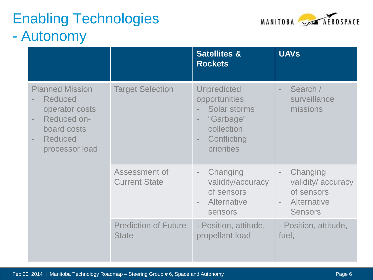## Enabling Technologies - Autonomy



|                                                                                                                                                                                      |                                             | <b>Satellites &amp;</b><br><b>Rockets</b>                                                                   | <b>UAVs</b>                                                                                                               |
|--------------------------------------------------------------------------------------------------------------------------------------------------------------------------------------|---------------------------------------------|-------------------------------------------------------------------------------------------------------------|---------------------------------------------------------------------------------------------------------------------------|
| <b>Planned Mission</b><br><b>Reduced</b><br>operator costs<br>Reduced on-<br>$\overline{\phantom{a}}$<br>board costs<br><b>Reduced</b><br>$\overline{\phantom{a}}$<br>processor load | <b>Target Selection</b>                     | <b>Unpredicted</b><br>opportunities<br>Solar storms<br>"Garbage"<br>collection<br>Conflicting<br>priorities | Search /<br>$\overline{\phantom{a}}$<br>surveillance<br>missions                                                          |
|                                                                                                                                                                                      | Assessment of<br><b>Current State</b>       | Changing<br>$\overline{\phantom{a}}$<br>validity/accuracy<br>of sensors<br>Alternative<br><b>sensors</b>    | Changing<br>$\overline{\phantom{a}}$<br>validity/accuracy<br>of sensors<br><b>Alternative</b><br>$\sim$<br><b>Sensors</b> |
|                                                                                                                                                                                      | <b>Prediction of Future</b><br><b>State</b> | - Position, attitude,<br>propellant load                                                                    | - Position, attitude,<br>fuel,                                                                                            |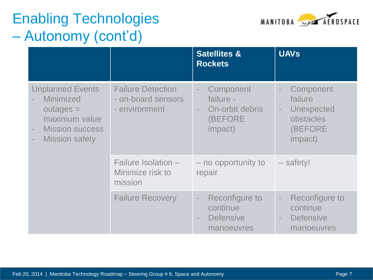## Enabling Technologies – Autonomy (cont'd)



|                                                                                                                                                                                        |                                                                 | <b>Satellites &amp;</b><br><b>Rockets</b>                                                                      | <b>UAVs</b>                                                                                                                          |
|----------------------------------------------------------------------------------------------------------------------------------------------------------------------------------------|-----------------------------------------------------------------|----------------------------------------------------------------------------------------------------------------|--------------------------------------------------------------------------------------------------------------------------------------|
| <b>Unplanned Events</b><br><b>Minimized</b><br>$outages =$<br>maximum value<br><b>Mission success</b><br>$\overline{\phantom{a}}$<br><b>Mission safety</b><br>$\overline{\phantom{a}}$ | <b>Failure Detection</b><br>- on-board sensors<br>- environment | Component<br>$\overline{\phantom{a}}$<br>failure -<br>On-orbit debris<br>$\equiv$<br>(BEFORE<br><i>impact)</i> | Component<br>$\overline{\phantom{a}}$<br>failure<br>Unexpected<br>$\overline{\phantom{a}}$<br>obstacles<br>(BEFORE<br><i>impact)</i> |
|                                                                                                                                                                                        | Failure Isolation -<br>Minimize risk to<br>mission              | - no opportunity to<br>repair                                                                                  | - safety!                                                                                                                            |
|                                                                                                                                                                                        | <b>Failure Recovery</b>                                         | Reconfigure to<br>$\overline{\phantom{a}}$<br>continue<br><b>Defensive</b><br>$\sim$<br>manoeuvres             | Reconfigure to<br>$\overline{\phantom{a}}$<br>continue<br><b>Defensive</b><br>$\overline{\phantom{a}}$<br>manoeuvres                 |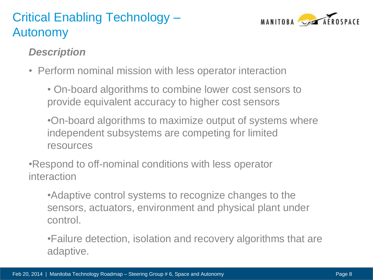## Critical Enabling Technology – Autonomy



#### *Description*

• Perform nominal mission with less operator interaction

• On-board algorithms to combine lower cost sensors to provide equivalent accuracy to higher cost sensors

•On-board algorithms to maximize output of systems where independent subsystems are competing for limited resources

•Respond to off-nominal conditions with less operator interaction

•Adaptive control systems to recognize changes to the sensors, actuators, environment and physical plant under control.

•Failure detection, isolation and recovery algorithms that are adaptive.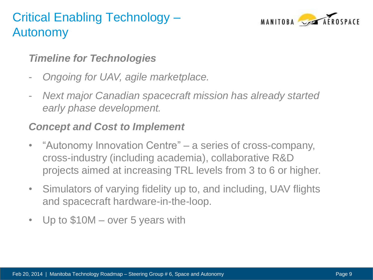## Critical Enabling Technology – Autonomy



#### *Timeline for Technologies*

- *Ongoing for UAV, agile marketplace.*
- *Next major Canadian spacecraft mission has already started early phase development.*

#### *Concept and Cost to Implement*

- "Autonomy Innovation Centre" a series of cross-company, cross-industry (including academia), collaborative R&D projects aimed at increasing TRL levels from 3 to 6 or higher.
- Simulators of varying fidelity up to, and including, UAV flights and spacecraft hardware-in-the-loop.
- Up to \$10M over 5 years with